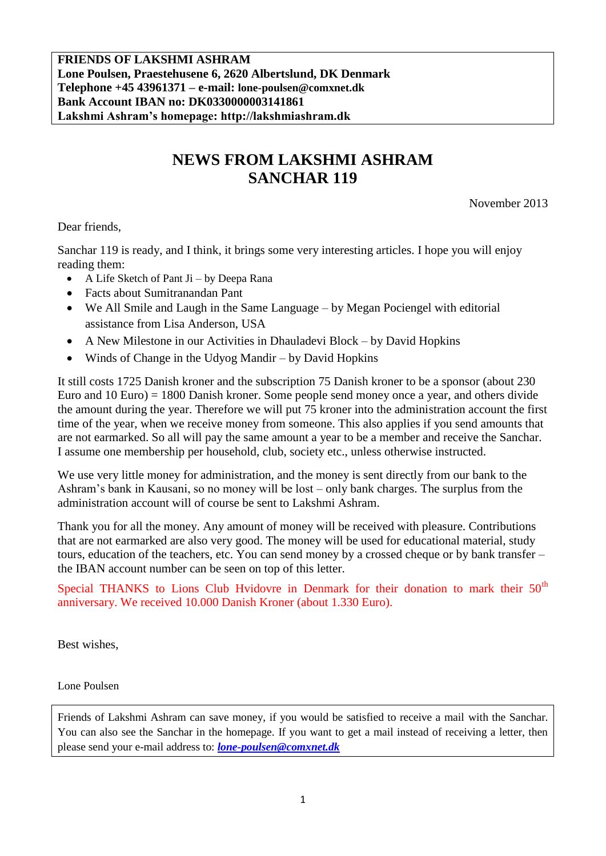**FRIENDS OF LAKSHMI ASHRAM Lone Poulsen, Praestehusene 6, 2620 Albertslund, DK Denmark Telephone +45 43961371 – e-mail: lone-poulsen@comxnet.dk Bank Account IBAN no: DK0330000003141861 Lakshmi Ashram's homepage: http://lakshmiashram.dk**

## **NEWS FROM LAKSHMI ASHRAM SANCHAR 119**

November 2013

Dear friends,

Sanchar 119 is ready, and I think, it brings some very interesting articles. I hope you will enjoy reading them:

- $\bullet$  A Life Sketch of Pant Ji by Deepa Rana
- Facts about Sumitranandan Pant
- We All Smile and Laugh in the Same Language by Megan Pociengel with editorial assistance from Lisa Anderson, USA
- A New Milestone in our Activities in Dhauladevi Block by David Hopkins
- Winds of Change in the Udyog Mandir by David Hopkins

It still costs 1725 Danish kroner and the subscription 75 Danish kroner to be a sponsor (about 230 Euro and 10 Euro) = 1800 Danish kroner. Some people send money once a year, and others divide the amount during the year. Therefore we will put 75 kroner into the administration account the first time of the year, when we receive money from someone. This also applies if you send amounts that are not earmarked. So all will pay the same amount a year to be a member and receive the Sanchar. I assume one membership per household, club, society etc., unless otherwise instructed.

We use very little money for administration, and the money is sent directly from our bank to the Ashram's bank in Kausani, so no money will be lost – only bank charges. The surplus from the administration account will of course be sent to Lakshmi Ashram.

Thank you for all the money. Any amount of money will be received with pleasure. Contributions that are not earmarked are also very good. The money will be used for educational material, study tours, education of the teachers, etc. You can send money by a crossed cheque or by bank transfer – the IBAN account number can be seen on top of this letter.

Special THANKS to Lions Club Hvidovre in Denmark for their donation to mark their  $50<sup>th</sup>$ anniversary. We received 10.000 Danish Kroner (about 1.330 Euro).

Best wishes,

Lone Poulsen

Friends of Lakshmi Ashram can save money, if you would be satisfied to receive a mail with the Sanchar. You can also see the Sanchar in the homepage. If you want to get a mail instead of receiving a letter, then please send your e-mail address to: *[lone-poulsen@comxnet.dk](mailto:lone-poulsen@comxnet.dk)*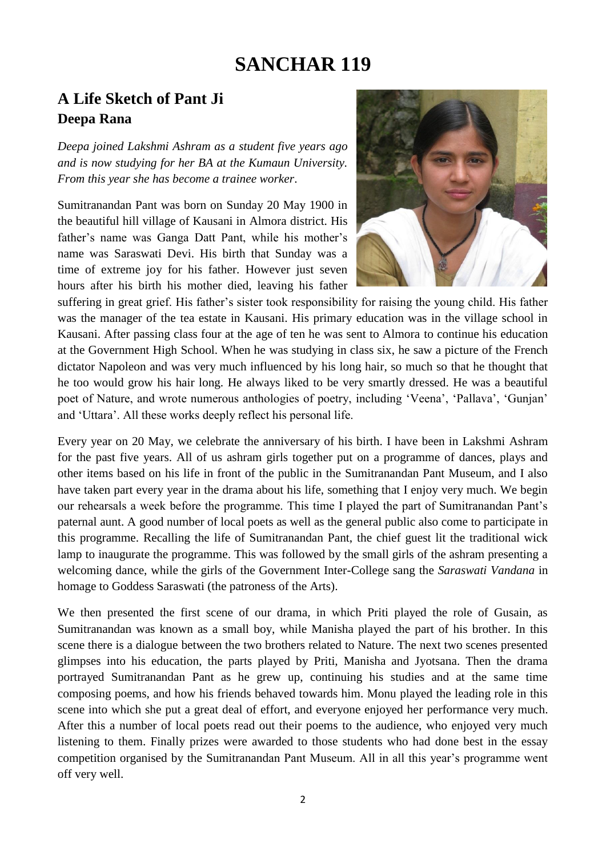# **SANCHAR 119**

### **A Life Sketch of Pant Ji Deepa Rana**

*Deepa joined Lakshmi Ashram as a student five years ago and is now studying for her BA at the Kumaun University. From this year she has become a trainee worker*.

Sumitranandan Pant was born on Sunday 20 May 1900 in the beautiful hill village of Kausani in Almora district. His father's name was Ganga Datt Pant, while his mother's name was Saraswati Devi. His birth that Sunday was a time of extreme joy for his father. However just seven hours after his birth his mother died, leaving his father



suffering in great grief. His father's sister took responsibility for raising the young child. His father was the manager of the tea estate in Kausani. His primary education was in the village school in Kausani. After passing class four at the age of ten he was sent to Almora to continue his education at the Government High School. When he was studying in class six, he saw a picture of the French dictator Napoleon and was very much influenced by his long hair, so much so that he thought that he too would grow his hair long. He always liked to be very smartly dressed. He was a beautiful poet of Nature, and wrote numerous anthologies of poetry, including 'Veena', 'Pallava', 'Gunjan' and 'Uttara'. All these works deeply reflect his personal life.

Every year on 20 May, we celebrate the anniversary of his birth. I have been in Lakshmi Ashram for the past five years. All of us ashram girls together put on a programme of dances, plays and other items based on his life in front of the public in the Sumitranandan Pant Museum, and I also have taken part every year in the drama about his life, something that I enjoy very much. We begin our rehearsals a week before the programme. This time I played the part of Sumitranandan Pant's paternal aunt. A good number of local poets as well as the general public also come to participate in this programme. Recalling the life of Sumitranandan Pant, the chief guest lit the traditional wick lamp to inaugurate the programme. This was followed by the small girls of the ashram presenting a welcoming dance, while the girls of the Government Inter-College sang the *Saraswati Vandana* in homage to Goddess Saraswati (the patroness of the Arts).

We then presented the first scene of our drama, in which Priti played the role of Gusain, as Sumitranandan was known as a small boy, while Manisha played the part of his brother. In this scene there is a dialogue between the two brothers related to Nature. The next two scenes presented glimpses into his education, the parts played by Priti, Manisha and Jyotsana. Then the drama portrayed Sumitranandan Pant as he grew up, continuing his studies and at the same time composing poems, and how his friends behaved towards him. Monu played the leading role in this scene into which she put a great deal of effort, and everyone enjoyed her performance very much. After this a number of local poets read out their poems to the audience, who enjoyed very much listening to them. Finally prizes were awarded to those students who had done best in the essay competition organised by the Sumitranandan Pant Museum. All in all this year's programme went off very well.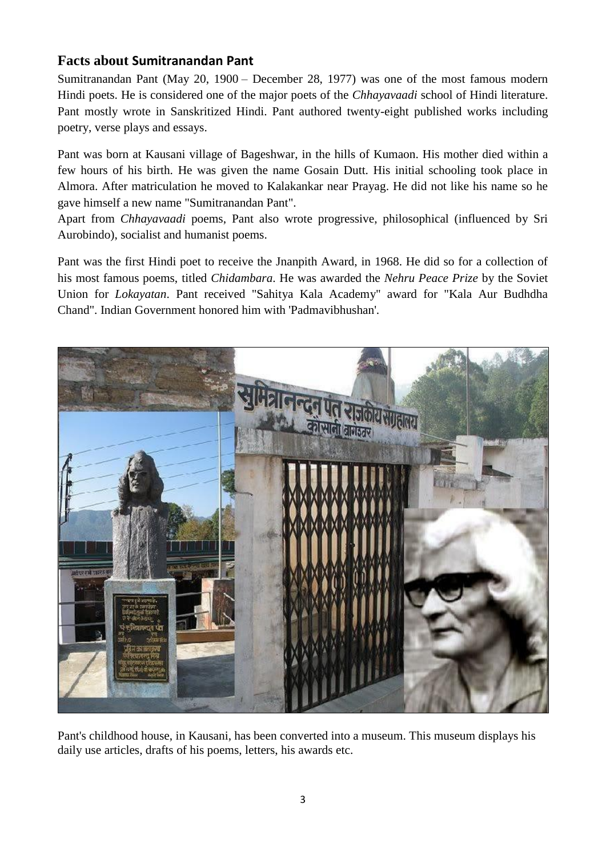#### **Facts about Sumitranandan Pant**

Sumitranandan Pant (May 20, 1900 – December 28, 1977) was one of the most famous modern Hindi poets. He is considered one of the major poets of the *Chhayavaadi* school of Hindi literature. Pant mostly wrote in Sanskritized Hindi. Pant authored twenty-eight published works including poetry, verse plays and essays.

Pant was born at Kausani village of Bageshwar, in the hills of Kumaon. His mother died within a few hours of his birth. He was given the name Gosain Dutt. His initial schooling took place in Almora. After matriculation he moved to Kalakankar near Prayag. He did not like his name so he gave himself a new name "Sumitranandan Pant".

Apart from *Chhayavaadi* poems, Pant also wrote progressive, philosophical (influenced by Sri Aurobindo), socialist and humanist poems.

Pant was the first Hindi poet to receive the Jnanpith Award, in 1968. He did so for a collection of his most famous poems, titled *Chidambara*. He was awarded the *Nehru Peace Prize* by the Soviet Union for *Lokayatan*. Pant received "Sahitya Kala Academy" award for "Kala Aur Budhdha Chand". Indian Government honored him with 'Padmavibhushan'.



Pant's childhood house, in Kausani, has been converted into a museum. This museum displays his daily use articles, drafts of his poems, letters, his awards etc.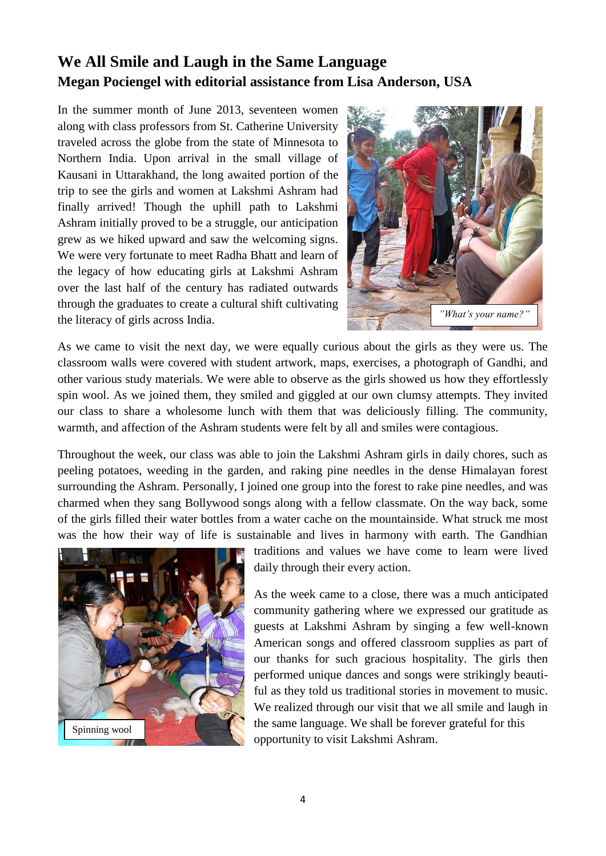### **We All Smile and Laugh in the Same Language Megan Pociengel with editorial assistance from Lisa Anderson, USA**

In the summer month of June 2013, seventeen women along with class professors from St. Catherine University traveled across the globe from the state of Minnesota to Northern India. Upon arrival in the small village of Kausani in Uttarakhand, the long awaited portion of the trip to see the girls and women at Lakshmi Ashram had finally arrived! Though the uphill path to Lakshmi Ashram initially proved to be a struggle, our anticipation grew as we hiked upward and saw the welcoming signs. We were very fortunate to meet Radha Bhatt and learn of the legacy of how educating girls at Lakshmi Ashram over the last half of the century has radiated outwards through the graduates to create a cultural shift cultivating the literacy of girls across India.



As we came to visit the next day, we were equally curious about the girls as they were us. The classroom walls were covered with student artwork, maps, exercises, a photograph of Gandhi, and other various study materials. We were able to observe as the girls showed us how they effortlessly spin wool. As we joined them, they smiled and giggled at our own clumsy attempts. They invited our class to share a wholesome lunch with them that was deliciously filling. The community, warmth, and affection of the Ashram students were felt by all and smiles were contagious.

Throughout the week, our class was able to join the Lakshmi Ashram girls in daily chores, such as peeling potatoes, weeding in the garden, and raking pine needles in the dense Himalayan forest surrounding the Ashram. Personally, I joined one group into the forest to rake pine needles, and was charmed when they sang Bollywood songs along with a fellow classmate. On the way back, some of the girls filled their water bottles from a water cache on the mountainside. What struck me most was the how their way of life is sustainable and lives in harmony with earth. The Gandhian



traditions and values we have come to learn were lived daily through their every action.

As the week came to a close, there was a much anticipated community gathering where we expressed our gratitude as guests at Lakshmi Ashram by singing a few well-known American songs and offered classroom supplies as part of our thanks for such gracious hospitality. The girls then performed unique dances and songs were strikingly beautiful as they told us traditional stories in movement to music. We realized through our visit that we all smile and laugh in the same language. We shall be forever grateful for this opportunity to visit Lakshmi Ashram.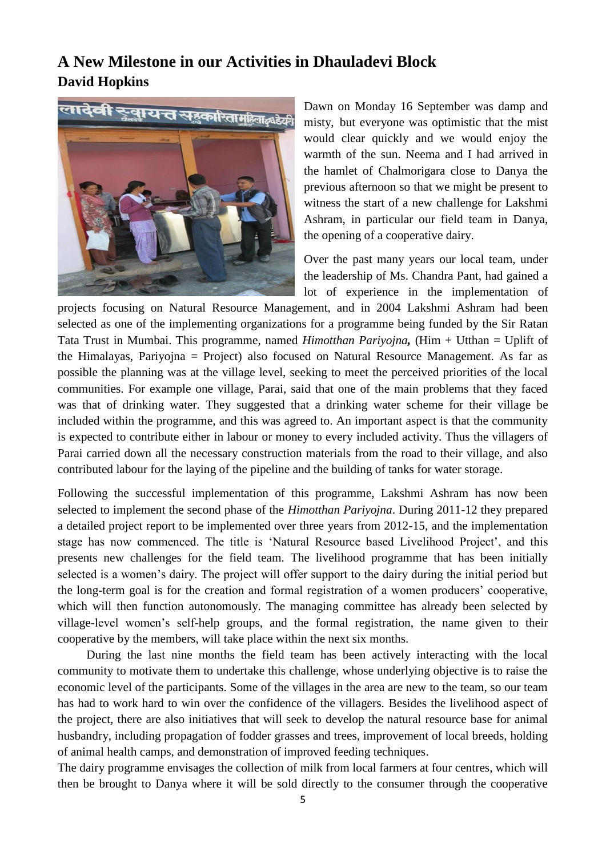### **A New Milestone in our Activities in Dhauladevi Block David Hopkins**



Dawn on Monday 16 September was damp and misty, but everyone was optimistic that the mist would clear quickly and we would enjoy the warmth of the sun. Neema and I had arrived in the hamlet of Chalmorigara close to Danya the previous afternoon so that we might be present to witness the start of a new challenge for Lakshmi Ashram, in particular our field team in Danya, the opening of a cooperative dairy.

Over the past many years our local team, under the leadership of Ms. Chandra Pant, had gained a lot of experience in the implementation of

projects focusing on Natural Resource Management, and in 2004 Lakshmi Ashram had been selected as one of the implementing organizations for a programme being funded by the Sir Ratan Tata Trust in Mumbai. This programme, named *Himotthan Pariyojna,* (Him + Utthan = Uplift of the Himalayas, Pariyojna = Project) also focused on Natural Resource Management. As far as possible the planning was at the village level, seeking to meet the perceived priorities of the local communities. For example one village, Parai, said that one of the main problems that they faced was that of drinking water. They suggested that a drinking water scheme for their village be included within the programme, and this was agreed to. An important aspect is that the community is expected to contribute either in labour or money to every included activity. Thus the villagers of Parai carried down all the necessary construction materials from the road to their village, and also contributed labour for the laying of the pipeline and the building of tanks for water storage.

Following the successful implementation of this programme, Lakshmi Ashram has now been selected to implement the second phase of the *Himotthan Pariyojna*. During 2011-12 they prepared a detailed project report to be implemented over three years from 2012-15, and the implementation stage has now commenced. The title is 'Natural Resource based Livelihood Project', and this presents new challenges for the field team. The livelihood programme that has been initially selected is a women's dairy. The project will offer support to the dairy during the initial period but the long-term goal is for the creation and formal registration of a women producers' cooperative, which will then function autonomously. The managing committee has already been selected by village-level women's self-help groups, and the formal registration, the name given to their cooperative by the members, will take place within the next six months.

During the last nine months the field team has been actively interacting with the local community to motivate them to undertake this challenge, whose underlying objective is to raise the economic level of the participants. Some of the villages in the area are new to the team, so our team has had to work hard to win over the confidence of the villagers. Besides the livelihood aspect of the project, there are also initiatives that will seek to develop the natural resource base for animal husbandry, including propagation of fodder grasses and trees, improvement of local breeds, holding of animal health camps, and demonstration of improved feeding techniques.

The dairy programme envisages the collection of milk from local farmers at four centres, which will then be brought to Danya where it will be sold directly to the consumer through the cooperative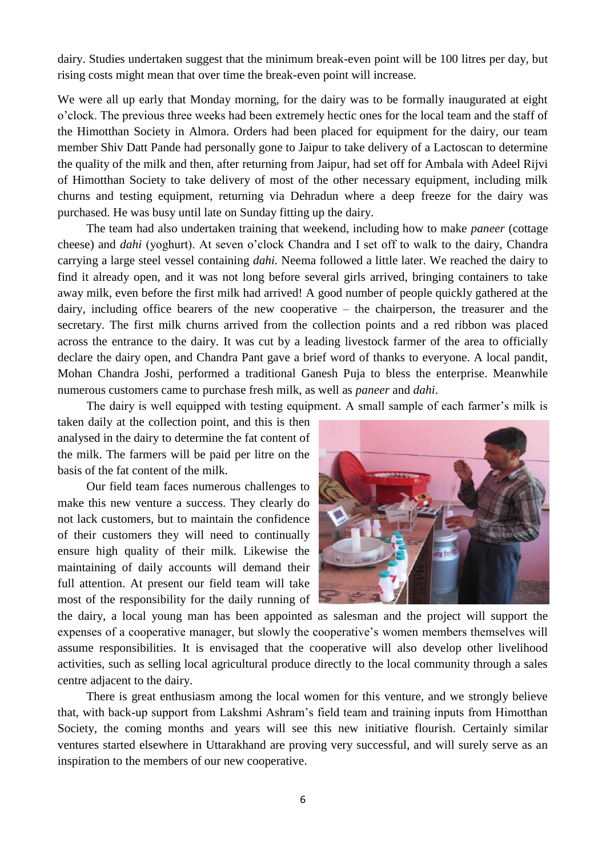dairy. Studies undertaken suggest that the minimum break-even point will be 100 litres per day, but rising costs might mean that over time the break-even point will increase.

We were all up early that Monday morning, for the dairy was to be formally inaugurated at eight o'clock. The previous three weeks had been extremely hectic ones for the local team and the staff of the Himotthan Society in Almora. Orders had been placed for equipment for the dairy, our team member Shiv Datt Pande had personally gone to Jaipur to take delivery of a Lactoscan to determine the quality of the milk and then, after returning from Jaipur, had set off for Ambala with Adeel Rijvi of Himotthan Society to take delivery of most of the other necessary equipment, including milk churns and testing equipment, returning via Dehradun where a deep freeze for the dairy was purchased. He was busy until late on Sunday fitting up the dairy.

The team had also undertaken training that weekend, including how to make *paneer* (cottage cheese) and *dahi* (yoghurt). At seven o'clock Chandra and I set off to walk to the dairy, Chandra carrying a large steel vessel containing *dahi.* Neema followed a little later. We reached the dairy to find it already open, and it was not long before several girls arrived, bringing containers to take away milk, even before the first milk had arrived! A good number of people quickly gathered at the dairy, including office bearers of the new cooperative – the chairperson, the treasurer and the secretary. The first milk churns arrived from the collection points and a red ribbon was placed across the entrance to the dairy. It was cut by a leading livestock farmer of the area to officially declare the dairy open, and Chandra Pant gave a brief word of thanks to everyone. A local pandit, Mohan Chandra Joshi, performed a traditional Ganesh Puja to bless the enterprise. Meanwhile numerous customers came to purchase fresh milk, as well as *paneer* and *dahi*.

The dairy is well equipped with testing equipment. A small sample of each farmer's milk is

taken daily at the collection point, and this is then analysed in the dairy to determine the fat content of the milk. The farmers will be paid per litre on the basis of the fat content of the milk.

Our field team faces numerous challenges to make this new venture a success. They clearly do not lack customers, but to maintain the confidence of their customers they will need to continually ensure high quality of their milk. Likewise the maintaining of daily accounts will demand their full attention. At present our field team will take most of the responsibility for the daily running of



the dairy, a local young man has been appointed as salesman and the project will support the expenses of a cooperative manager, but slowly the cooperative's women members themselves will assume responsibilities. It is envisaged that the cooperative will also develop other livelihood activities, such as selling local agricultural produce directly to the local community through a sales centre adjacent to the dairy.

There is great enthusiasm among the local women for this venture, and we strongly believe that, with back-up support from Lakshmi Ashram's field team and training inputs from Himotthan Society, the coming months and years will see this new initiative flourish. Certainly similar ventures started elsewhere in Uttarakhand are proving very successful, and will surely serve as an inspiration to the members of our new cooperative.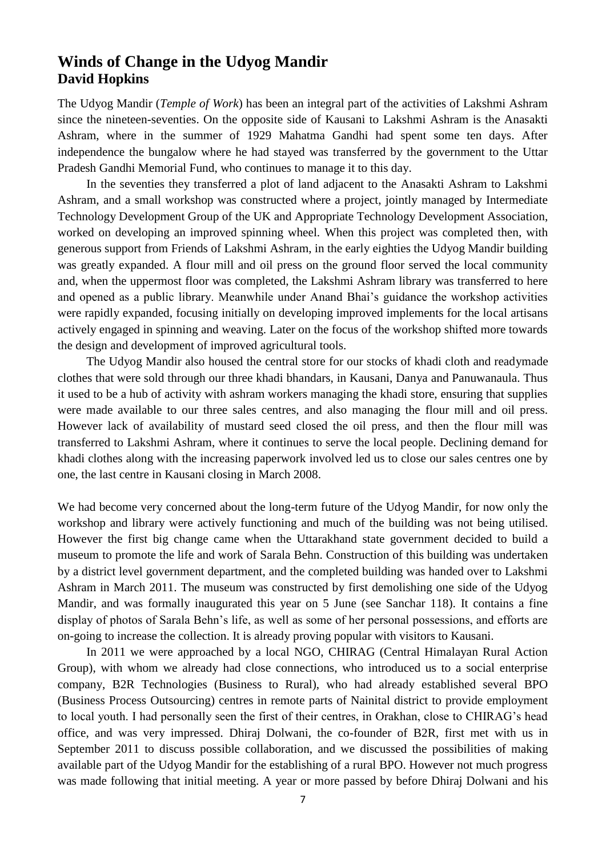### **Winds of Change in the Udyog Mandir David Hopkins**

The Udyog Mandir (*Temple of Work*) has been an integral part of the activities of Lakshmi Ashram since the nineteen-seventies. On the opposite side of Kausani to Lakshmi Ashram is the Anasakti Ashram, where in the summer of 1929 Mahatma Gandhi had spent some ten days. After independence the bungalow where he had stayed was transferred by the government to the Uttar Pradesh Gandhi Memorial Fund, who continues to manage it to this day.

In the seventies they transferred a plot of land adjacent to the Anasakti Ashram to Lakshmi Ashram, and a small workshop was constructed where a project, jointly managed by Intermediate Technology Development Group of the UK and Appropriate Technology Development Association, worked on developing an improved spinning wheel. When this project was completed then, with generous support from Friends of Lakshmi Ashram, in the early eighties the Udyog Mandir building was greatly expanded. A flour mill and oil press on the ground floor served the local community and, when the uppermost floor was completed, the Lakshmi Ashram library was transferred to here and opened as a public library. Meanwhile under Anand Bhai's guidance the workshop activities were rapidly expanded, focusing initially on developing improved implements for the local artisans actively engaged in spinning and weaving. Later on the focus of the workshop shifted more towards the design and development of improved agricultural tools.

The Udyog Mandir also housed the central store for our stocks of khadi cloth and readymade clothes that were sold through our three khadi bhandars, in Kausani, Danya and Panuwanaula. Thus it used to be a hub of activity with ashram workers managing the khadi store, ensuring that supplies were made available to our three sales centres, and also managing the flour mill and oil press. However lack of availability of mustard seed closed the oil press, and then the flour mill was transferred to Lakshmi Ashram, where it continues to serve the local people. Declining demand for khadi clothes along with the increasing paperwork involved led us to close our sales centres one by one, the last centre in Kausani closing in March 2008.

We had become very concerned about the long-term future of the Udyog Mandir, for now only the workshop and library were actively functioning and much of the building was not being utilised. However the first big change came when the Uttarakhand state government decided to build a museum to promote the life and work of Sarala Behn. Construction of this building was undertaken by a district level government department, and the completed building was handed over to Lakshmi Ashram in March 2011. The museum was constructed by first demolishing one side of the Udyog Mandir, and was formally inaugurated this year on 5 June (see Sanchar 118). It contains a fine display of photos of Sarala Behn's life, as well as some of her personal possessions, and efforts are on-going to increase the collection. It is already proving popular with visitors to Kausani.

In 2011 we were approached by a local NGO, CHIRAG (Central Himalayan Rural Action Group), with whom we already had close connections, who introduced us to a social enterprise company, B2R Technologies (Business to Rural), who had already established several BPO (Business Process Outsourcing) centres in remote parts of Nainital district to provide employment to local youth. I had personally seen the first of their centres, in Orakhan, close to CHIRAG's head office, and was very impressed. Dhiraj Dolwani, the co-founder of B2R, first met with us in September 2011 to discuss possible collaboration, and we discussed the possibilities of making available part of the Udyog Mandir for the establishing of a rural BPO. However not much progress was made following that initial meeting. A year or more passed by before Dhiraj Dolwani and his